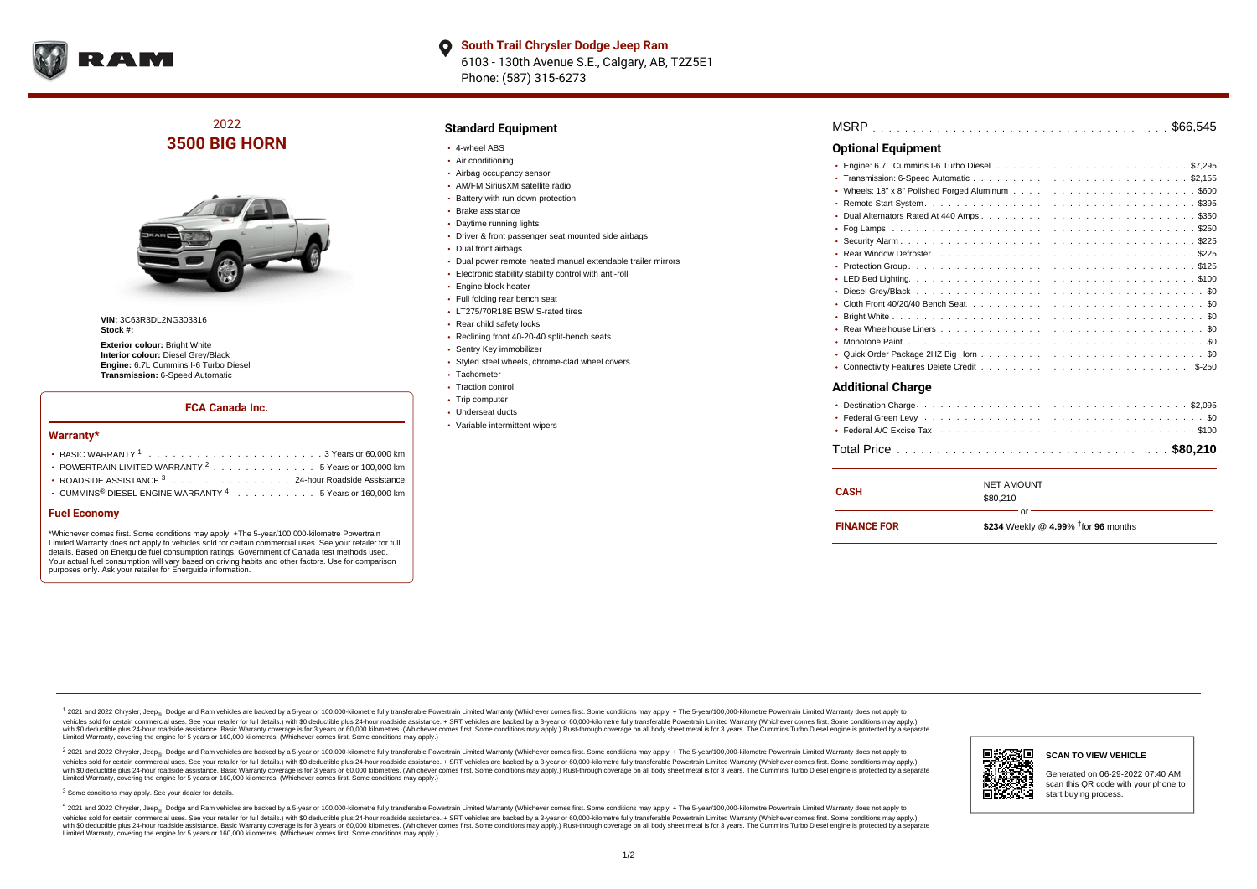

# 2022 **3500 BIG HORN**



**VIN:** 3C63R3DL2NG303316 **Stock #:**

**Exterior colour: Bright White Interior colour:** Diesel Grey/Black **Engine:** 6.7L Cummins I-6 Turbo Diesel **Transmission:** 6-Speed Automatic

#### **FCA Canada Inc.**

#### **Warranty\***

| • POWERTRAIN LIMITED WARRANTY $2, \ldots, \ldots, \ldots, \ldots, 5$ Years or 100,000 km |  |  |  |
|------------------------------------------------------------------------------------------|--|--|--|
| • ROADSIDE ASSISTANCE 3 24-hour Roadside Assistance                                      |  |  |  |
| • CUMMINS <sup>®</sup> DIESEL ENGINE WARRANTY <sup>4</sup> 5 Years or 160,000 km         |  |  |  |
|                                                                                          |  |  |  |

#### **Fuel Economy**

\*Whichever comes first. Some conditions may apply. +The 5-year/100,000-kilometre Powertrain Limited Warranty does not apply to vehicles sold for certain commercial uses. See your retailer for full details. Based on Energuide fuel consumption ratings. Government of Canada test methods used. Your actual fuel consumption will vary based on driving habits and other factors. Use for comparison purposes only. Ask your retailer for Energuide information.

### **Standard Equipment**

- 4-wheel ABS
- Air conditioning
- Airbag occupancy sensor
- AM/FM SiriusXM satellite radio
- Battery with run down protection
- Brake assistance Daytime running lights
- Driver & front passenger seat mounted side airbags
- Dual front airbags
- Dual power remote heated manual extendable trailer mirrors
- Electronic stability stability control with anti-roll
- Engine block heater
- Full folding rear bench seat
- **LT275/70R18E BSW S-rated tires**
- Rear child safety locks
- Reclining front 40-20-40 split-bench seats
- Sentry Key immobilizer
- Styled steel wheels, chrome-clad wheel covers
- Tachometer
- Traction control
- Trip computer
- Underseat ducts
- Variable intermittent wipers

| MSRP |  |  |  |  |  |  |  |  |  |  |  |  |  |  |  |  |  |  |  |  |  |  |  |  |  |  |  |  |  |  |  |  |  |  |  |  |
|------|--|--|--|--|--|--|--|--|--|--|--|--|--|--|--|--|--|--|--|--|--|--|--|--|--|--|--|--|--|--|--|--|--|--|--|--|
|------|--|--|--|--|--|--|--|--|--|--|--|--|--|--|--|--|--|--|--|--|--|--|--|--|--|--|--|--|--|--|--|--|--|--|--|--|

### **Optional Equipment**

| <b>Additional Charge</b> |
|--------------------------|
|                          |
|                          |
|                          |
|                          |

| <b>CASH</b>        | <b>NET AMOUNT</b><br>\$80,210                      |  |  |  |  |  |  |
|--------------------|----------------------------------------------------|--|--|--|--|--|--|
| <b>FINANCE FOR</b> | Ωr<br>\$234 Weekly @ 4.99% $\dagger$ for 96 months |  |  |  |  |  |  |

<sup>1</sup> 2021 and 2022 Chrysler, Jeep<sub>®</sub>, Dodge and Ram vehicles are backed by a 5-year or 100,000-kilometre fully transferable Powertrain Limited Warranty (Whichever comes first. Some conditions may apply. + The 5-year/100,000 vehides sold for certain commercial uses. See your retailer for full details.) with \$0 deductible plus 24-hour roadside assistance. + SRT vehicles are backed by a 3-years or 50,000 kilometres. (Whichever comes first. Some Limited Warranty, covering the engine for 5 years or 160,000 kilometres. (Whichever comes first. Some conditions may apply.)

2 2021 and 2022 Chrysler, Jeep<sub>®</sub>, Dodge and Ram vehicles are backed by a 5-year or 100,000-kilometre fully transferable Powertrain Limited Warranty (Whichever comes first. Some conditions may apply. + The 5-year/100,000-k vehicles sold for certain commercial uses. See your retailer for full details.) with SO deductible plus 24-hour roadside assistance. + SRT vehicles are backed by a 3-year or 60.000-kilometre fully transferable Powertrain. vando concerned a mandato control and the mandato concerned a mandato concerned a mandato concerned a mandato concerned a mandato concerned a mandato concerned as concerned as a subsequent of the concerned as a subsequent Limited Warranty, covering the engine for 5 years or 160,000 kilometres. (Whichever comes first. Some conditions may apply.)

<sup>3</sup> Some conditions may apply. See your dealer for details.

4 2021 and 2022 Chrysler, Jeep<sub>®</sub>, Dodge and Ram vehicles are backed by a 5-year or 100,000-kilometre fully transferable Powertrain Limited Warranty (Whichever comes first. Some conditions may apply. + The 5-year/100,000-k vehicles sold for certain commercial uses. See your retailer for full details.) with \$0 deductible plus 24-hour roadside assistance. + SRT vehicles are backed by a 3-year or 60,000-kilometre fully transferable Powertrain L with \$0 deductible plus 24-hour roadside assistance. Basic Warranty coverage is for 3 years or 60,000 kilometres. (Whichever comes first. Some conditions may apply.) Rust-through coverage on all body sheet metal is for 3 y Limited Warranty, covering the engine for 5 years or 160,000 kilometres. (Whichever comes first. Some conditions may apply.)



# **SCAN TO VIEW VEHICLE**

Generated on 06-29-2022 07:40 AM, scan this QR code with your phone to start buying process.